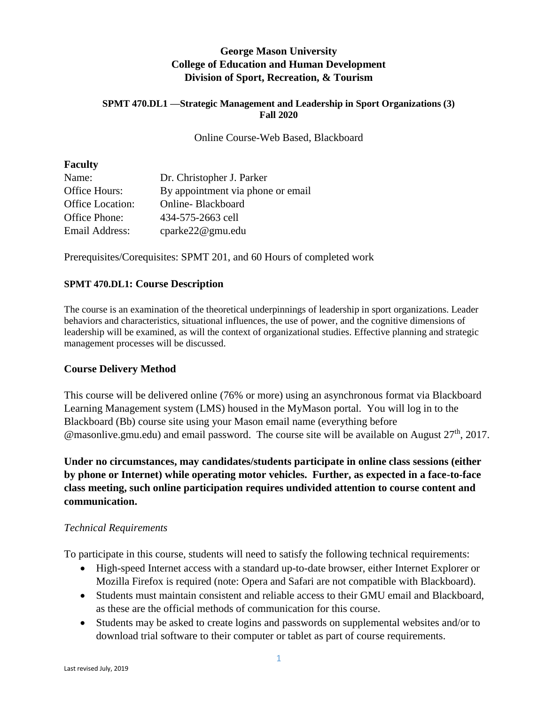## **George Mason University College of Education and Human Development Division of Sport, Recreation, & Tourism**

#### **SPMT 470.DL1 —Strategic Management and Leadership in Sport Organizations (3) Fall 2020**

Online Course-Web Based, Blackboard

#### **Faculty**

| Name:                   | Dr. Christopher J. Parker         |
|-------------------------|-----------------------------------|
| Office Hours:           | By appointment via phone or email |
| <b>Office Location:</b> | Online-Blackboard                 |
| Office Phone:           | 434-575-2663 cell                 |
| Email Address:          | cparke22@gmu.edu                  |

Prerequisites/Corequisites: SPMT 201, and 60 Hours of completed work

### **SPMT 470.DL1: Course Description**

The course is an examination of the theoretical underpinnings of leadership in sport organizations. Leader behaviors and characteristics, situational influences, the use of power, and the cognitive dimensions of leadership will be examined, as will the context of organizational studies. Effective planning and strategic management processes will be discussed.

#### **Course Delivery Method**

This course will be delivered online (76% or more) using an asynchronous format via Blackboard Learning Management system (LMS) housed in the MyMason portal. You will log in to the Blackboard (Bb) course site using your Mason email name (everything before @masonlive.gmu.edu) and email password. The course site will be available on August 27<sup>th</sup>, 2017.

**Under no circumstances, may candidates/students participate in online class sessions (either by phone or Internet) while operating motor vehicles. Further, as expected in a face-to-face class meeting, such online participation requires undivided attention to course content and communication.**

#### *Technical Requirements*

To participate in this course, students will need to satisfy the following technical requirements:

- High-speed Internet access with a standard up-to-date browser, either Internet Explorer or Mozilla Firefox is required (note: Opera and Safari are not compatible with Blackboard).
- Students must maintain consistent and reliable access to their GMU email and Blackboard, as these are the official methods of communication for this course.
- Students may be asked to create logins and passwords on supplemental websites and/or to download trial software to their computer or tablet as part of course requirements.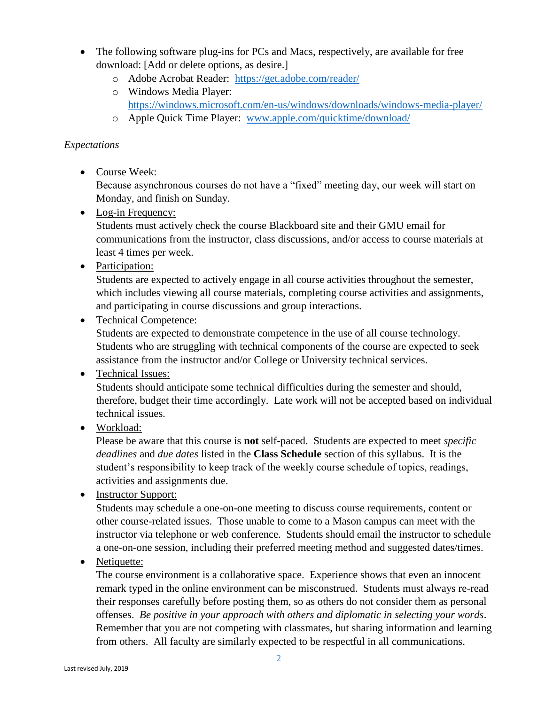- The following software plug-ins for PCs and Macs, respectively, are available for free download: [Add or delete options, as desire.]
	- o Adobe Acrobat Reader: <https://get.adobe.com/reader/>
	- o Windows Media Player: <https://windows.microsoft.com/en-us/windows/downloads/windows-media-player/>
	- o Apple Quick Time Player: [www.apple.com/quicktime/download/](http://www.apple.com/quicktime/download/)

## *Expectations*

• Course Week:

Because asynchronous courses do not have a "fixed" meeting day, our week will start on Monday, and finish on Sunday.

• Log-in Frequency:

Students must actively check the course Blackboard site and their GMU email for communications from the instructor, class discussions, and/or access to course materials at least 4 times per week.

• Participation:

Students are expected to actively engage in all course activities throughout the semester, which includes viewing all course materials, completing course activities and assignments, and participating in course discussions and group interactions.

Technical Competence:

Students are expected to demonstrate competence in the use of all course technology. Students who are struggling with technical components of the course are expected to seek assistance from the instructor and/or College or University technical services.

• Technical Issues:

Students should anticipate some technical difficulties during the semester and should, therefore, budget their time accordingly. Late work will not be accepted based on individual technical issues.

• Workload:

Please be aware that this course is **not** self-paced. Students are expected to meet *specific deadlines* and *due dates* listed in the **Class Schedule** section of this syllabus. It is the student's responsibility to keep track of the weekly course schedule of topics, readings, activities and assignments due.

• Instructor Support:

Students may schedule a one-on-one meeting to discuss course requirements, content or other course-related issues. Those unable to come to a Mason campus can meet with the instructor via telephone or web conference. Students should email the instructor to schedule a one-on-one session, including their preferred meeting method and suggested dates/times.

• Netiquette:

The course environment is a collaborative space. Experience shows that even an innocent remark typed in the online environment can be misconstrued. Students must always re-read their responses carefully before posting them, so as others do not consider them as personal offenses. *Be positive in your approach with others and diplomatic in selecting your words*. Remember that you are not competing with classmates, but sharing information and learning from others. All faculty are similarly expected to be respectful in all communications.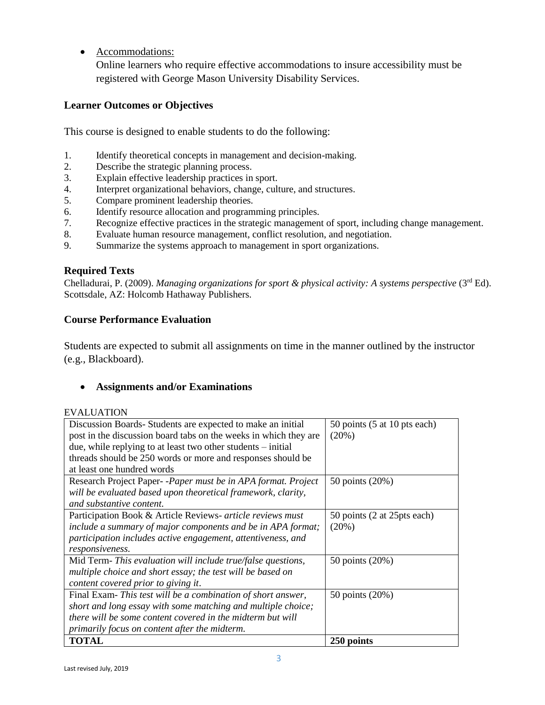Accommodations:

Online learners who require effective accommodations to insure accessibility must be registered with George Mason University Disability Services.

## **Learner Outcomes or Objectives**

This course is designed to enable students to do the following:

- 1. Identify theoretical concepts in management and decision-making.
- 2. Describe the strategic planning process.
- 3. Explain effective leadership practices in sport.
- 4. Interpret organizational behaviors, change, culture, and structures.
- 5. Compare prominent leadership theories.
- 6. Identify resource allocation and programming principles.
- 7. Recognize effective practices in the strategic management of sport, including change management.
- 8. Evaluate human resource management, conflict resolution, and negotiation.
- 9. Summarize the systems approach to management in sport organizations.

## **Required Texts**

Chelladurai, P. (2009). *Managing organizations for sport & physical activity: A systems perspective* (3<sup>rd</sup> Ed). Scottsdale, AZ: Holcomb Hathaway Publishers.

## **Course Performance Evaluation**

Students are expected to submit all assignments on time in the manner outlined by the instructor (e.g., Blackboard).

## **Assignments and/or Examinations**

#### EVALUATION

| Discussion Boards-Students are expected to make an initial<br>post in the discussion board tabs on the weeks in which they are<br>due, while replying to at least two other students $-$ initial                                           | 50 points (5 at 10 pts each)<br>$(20\%)$ |
|--------------------------------------------------------------------------------------------------------------------------------------------------------------------------------------------------------------------------------------------|------------------------------------------|
| threads should be 250 words or more and responses should be                                                                                                                                                                                |                                          |
| at least one hundred words<br>Research Project Paper--Paper must be in APA format. Project                                                                                                                                                 |                                          |
| will be evaluated based upon theoretical framework, clarity,<br>and substantive content.                                                                                                                                                   | 50 points (20%)                          |
| Participation Book & Article Reviews- article reviews must<br>include a summary of major components and be in APA format;<br>participation includes active engagement, attentiveness, and<br>responsiveness.                               | 50 points (2 at 25 pts each)<br>$(20\%)$ |
| Mid Term- This evaluation will include true/false questions,<br>multiple choice and short essay; the test will be based on<br>content covered prior to giving it.                                                                          | 50 points (20%)                          |
| Final Exam-This test will be a combination of short answer,<br>short and long essay with some matching and multiple choice;<br>there will be some content covered in the midterm but will<br>primarily focus on content after the midterm. | 50 points (20%)                          |
| <b>TOTAL</b>                                                                                                                                                                                                                               | 250 points                               |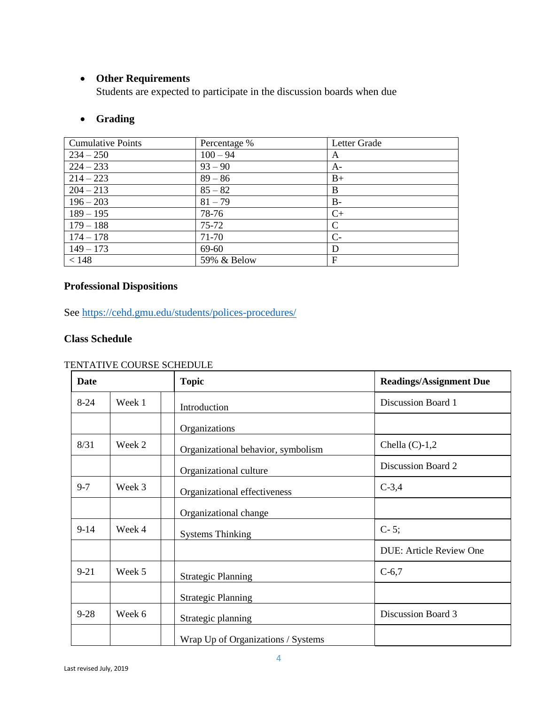## **Other Requirements**

Students are expected to participate in the discussion boards when due

## **Grading**

| <b>Cumulative Points</b> | Percentage % | Letter Grade |
|--------------------------|--------------|--------------|
| $234 - 250$              | $100 - 94$   | A            |
| $224 - 233$              | $93 - 90$    | A-           |
| $214 - 223$              | $89 - 86$    | $B+$         |
| $204 - 213$              | $85 - 82$    | B            |
| $196 - 203$              | $81 - 79$    | $B -$        |
| $189 - 195$              | 78-76        | $C+$         |
| $179 - 188$              | $75 - 72$    | C            |
| $174 - 178$              | 71-70        | $C-$         |
| $149 - 173$              | 69-60        | D            |
| < 148                    | 59% & Below  | F            |

# **Professional Dispositions**

See<https://cehd.gmu.edu/students/polices-procedures/>

## **Class Schedule**

#### TENTATIVE COURSE SCHEDULE

| <b>Date</b> |        | <b>Topic</b>                       | <b>Readings/Assignment Due</b> |
|-------------|--------|------------------------------------|--------------------------------|
| $8 - 24$    | Week 1 | Introduction                       | Discussion Board 1             |
|             |        | Organizations                      |                                |
| 8/31        | Week 2 | Organizational behavior, symbolism | Chella $(C)-1,2$               |
|             |        | Organizational culture             | Discussion Board 2             |
| $9 - 7$     | Week 3 | Organizational effectiveness       | $C-3,4$                        |
|             |        | Organizational change              |                                |
| $9 - 14$    | Week 4 | <b>Systems Thinking</b>            | $C-5;$                         |
|             |        |                                    | <b>DUE: Article Review One</b> |
| $9 - 21$    | Week 5 | <b>Strategic Planning</b>          | $C-6,7$                        |
|             |        | <b>Strategic Planning</b>          |                                |
| $9 - 28$    | Week 6 | Strategic planning                 | Discussion Board 3             |
|             |        | Wrap Up of Organizations / Systems |                                |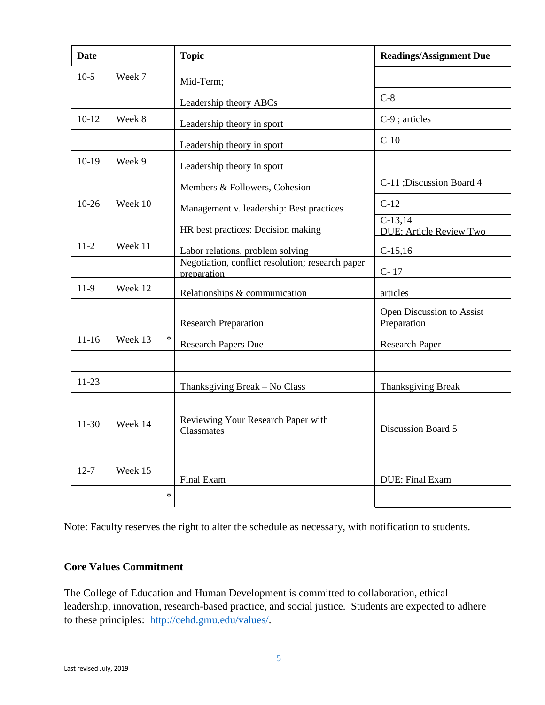| <b>Date</b> |         |        | <b>Topic</b>                                                    | <b>Readings/Assignment Due</b>               |
|-------------|---------|--------|-----------------------------------------------------------------|----------------------------------------------|
| $10-5$      | Week 7  |        | Mid-Term;                                                       |                                              |
|             |         |        | Leadership theory ABCs                                          | $C-8$                                        |
| $10-12$     | Week 8  |        | Leadership theory in sport                                      | $C-9$ ; articles                             |
|             |         |        | Leadership theory in sport                                      | $C-10$                                       |
| $10-19$     | Week 9  |        | Leadership theory in sport                                      |                                              |
|             |         |        | Members & Followers, Cohesion                                   | C-11 ; Discussion Board 4                    |
| $10-26$     | Week 10 |        | Management v. leadership: Best practices                        | $C-12$                                       |
|             |         |        | HR best practices: Decision making                              | $C-13.14$<br><b>DUE</b> ; Article Review Two |
| $11 - 2$    | Week 11 |        | Labor relations, problem solving                                | $C-15,16$                                    |
|             |         |        | Negotiation, conflict resolution; research paper<br>preparation | $C-17$                                       |
| $11-9$      | Week 12 |        | Relationships & communication                                   | articles                                     |
|             |         |        | <b>Research Preparation</b>                                     | Open Discussion to Assist<br>Preparation     |
| $11 - 16$   | Week 13 | $\ast$ | <b>Research Papers Due</b>                                      | <b>Research Paper</b>                        |
|             |         |        |                                                                 |                                              |
| $11-23$     |         |        | Thanksgiving Break - No Class                                   | <b>Thanksgiving Break</b>                    |
|             |         |        |                                                                 |                                              |
| $11-30$     | Week 14 |        | Reviewing Your Research Paper with<br>Classmates                | Discussion Board 5                           |
|             |         |        |                                                                 |                                              |
| $12 - 7$    | Week 15 |        | Final Exam                                                      | DUE: Final Exam                              |
|             |         | $\ast$ |                                                                 |                                              |

Note: Faculty reserves the right to alter the schedule as necessary, with notification to students.

#### **Core Values Commitment**

The College of Education and Human Development is committed to collaboration, ethical leadership, innovation, research-based practice, and social justice. Students are expected to adhere to these principles: [http://cehd.gmu.edu/values/.](http://cehd.gmu.edu/values/)